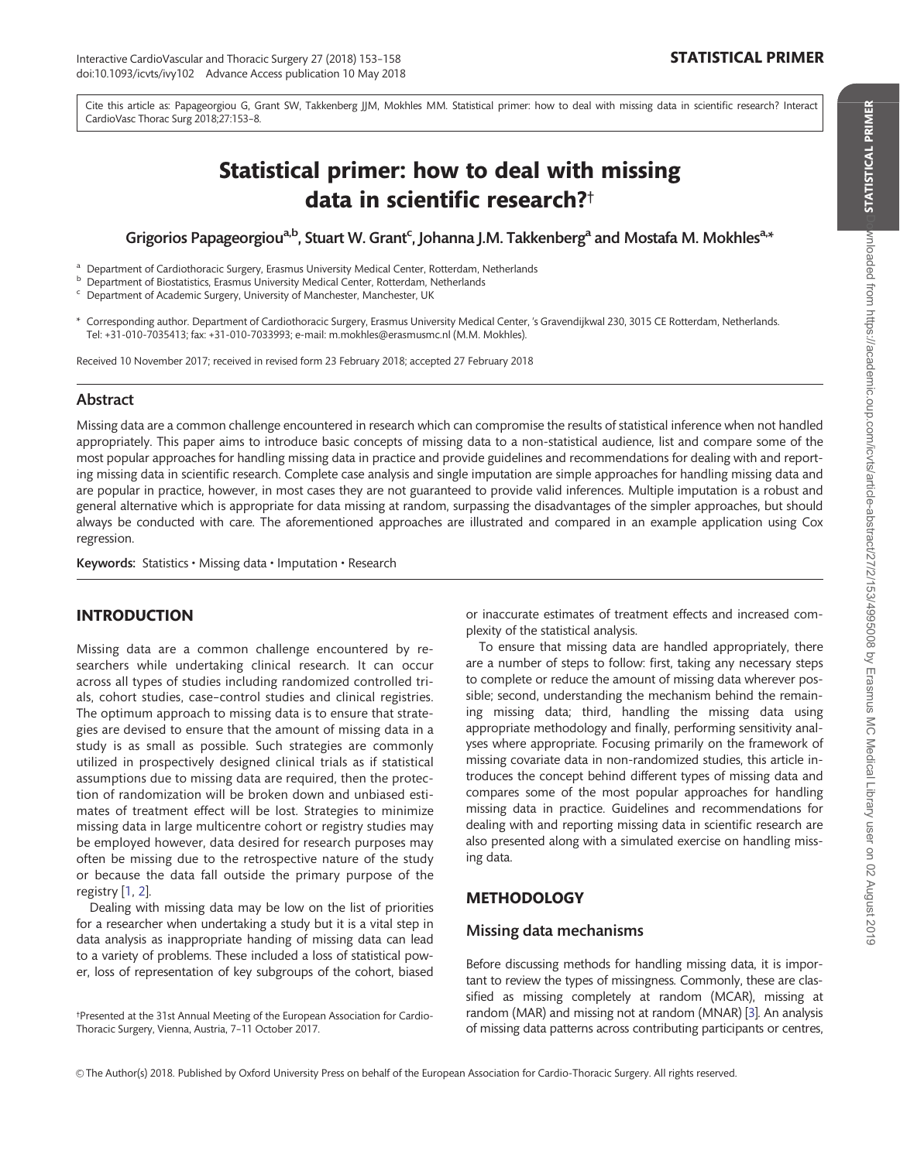<span id="page-0-0"></span>Cite this article as: Papageorgiou G, Grant SW, Takkenberg JJM, Mokhles MM. Statistical primer: how to deal with missing data in scientific research? Interact CardioVasc Thorac Surg 2018;27:153–8.

# Statistical primer: how to deal with missing data in scientific research?†

Grigorios Papageorgiou<sup>a,b</sup>, Stuart W. Grant<sup>c</sup>, Johanna J.M. Takkenberg<sup>a</sup> and Mostafa M. Mokhles<sup>a,</sup>\*

<sup>a</sup> Department of Cardiothoracic Surgery, Erasmus University Medical Center, Rotterdam, Netherlands<br><sup>b</sup> Department of Biostatistics, Erasmus University Medical Center, Rotterdam, Netherlands<br><sup>c</sup> Department of Academic Surg

\* Corresponding author. Department of Cardiothoracic Surgery, Erasmus University Medical Center, 's Gravendijkwal 230, 3015 CE Rotterdam, Netherlands. Tel: +31-010-7035413; fax: +31-010-7033993; e-mail: m.mokhles@erasmusmc.nl (M.M. Mokhles).

Received 10 November 2017; received in revised form 23 February 2018; accepted 27 February 2018

## Abstract

Missing data are a common challenge encountered in research which can compromise the results of statistical inference when not handled appropriately. This paper aims to introduce basic concepts of missing data to a non-statistical audience, list and compare some of the most popular approaches for handling missing data in practice and provide guidelines and recommendations for dealing with and reporting missing data in scientific research. Complete case analysis and single imputation are simple approaches for handling missing data and are popular in practice, however, in most cases they are not guaranteed to provide valid inferences. Multiple imputation is a robust and general alternative which is appropriate for data missing at random, surpassing the disadvantages of the simpler approaches, but should always be conducted with care. The aforementioned approaches are illustrated and compared in an example application using Cox regression.

Keywords: Statistics • Missing data • Imputation • Research

# INTRODUCTION

Missing data are a common challenge encountered by researchers while undertaking clinical research. It can occur across all types of studies including randomized controlled trials, cohort studies, case–control studies and clinical registries. The optimum approach to missing data is to ensure that strategies are devised to ensure that the amount of missing data in a study is as small as possible. Such strategies are commonly utilized in prospectively designed clinical trials as if statistical assumptions due to missing data are required, then the protection of randomization will be broken down and unbiased estimates of treatment effect will be lost. Strategies to minimize missing data in large multicentre cohort or registry studies may be employed however, data desired for research purposes may often be missing due to the retrospective nature of the study or because the data fall outside the primary purpose of the registry [[1,](#page-5-0) [2](#page-5-0)].

Dealing with missing data may be low on the list of priorities for a researcher when undertaking a study but it is a vital step in data analysis as inappropriate handing of missing data can lead to a variety of problems. These included a loss of statistical power, loss of representation of key subgroups of the cohort, biased

†Presented at the 31st Annual Meeting of the European Association for Cardio-Thoracic Surgery, Vienna, Austria, 7–11 October 2017.

or inaccurate estimates of treatment effects and increased complexity of the statistical analysis.

To ensure that missing data are handled appropriately, there are a number of steps to follow: first, taking any necessary steps to complete or reduce the amount of missing data wherever possible; second, understanding the mechanism behind the remaining missing data; third, handling the missing data using appropriate methodology and finally, performing sensitivity analyses where appropriate. Focusing primarily on the framework of missing covariate data in non-randomized studies, this article introduces the concept behind different types of missing data and compares some of the most popular approaches for handling missing data in practice. Guidelines and recommendations for dealing with and reporting missing data in scientific research are also presented along with a simulated exercise on handling missing data.

## **METHODOLOGY**

## Missing data mechanisms

Before discussing methods for handling missing data, it is important to review the types of missingness. Commonly, these are classified as missing completely at random (MCAR), missing at random (MAR) and missing not at random (MNAR) [\[3\]](#page-5-0). An analysis of missing data patterns across contributing participants or centres,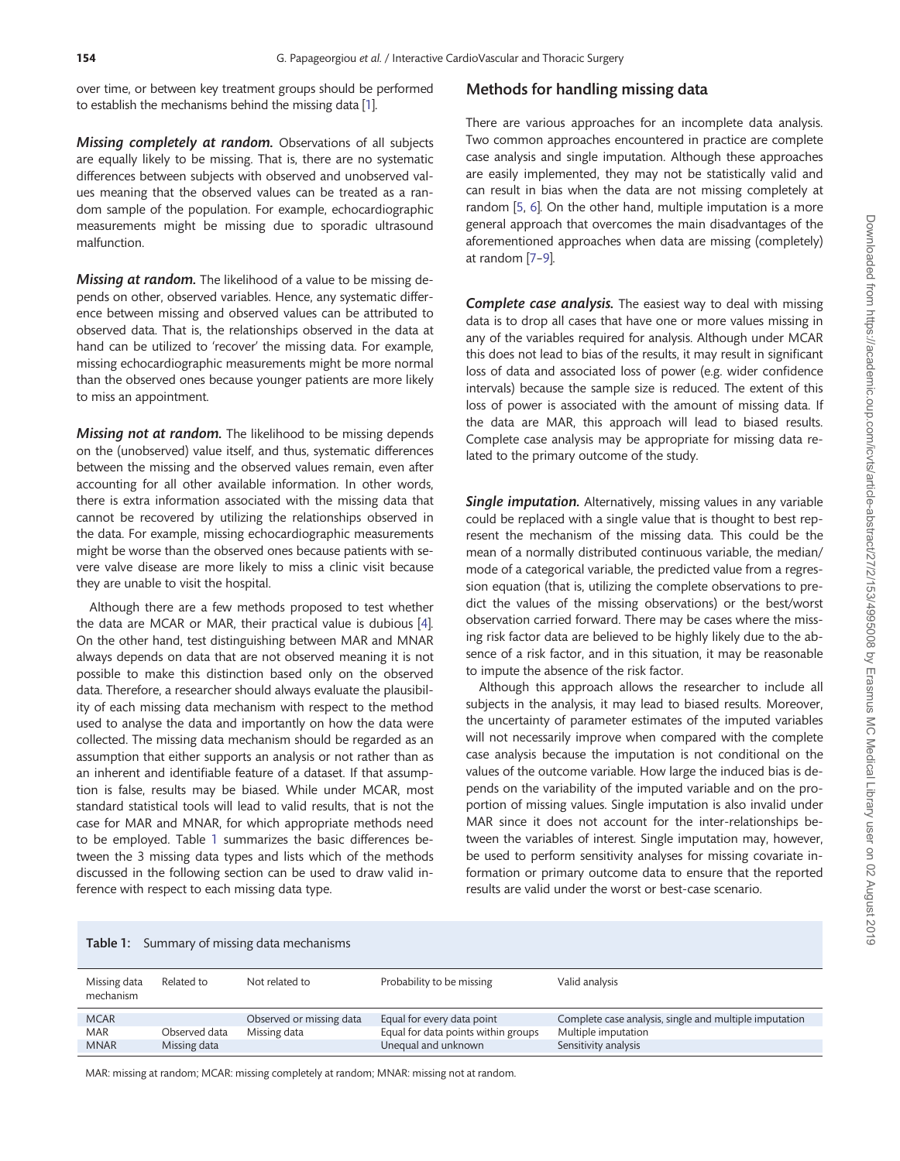<span id="page-1-0"></span>over time, or between key treatment groups should be performed to establish the mechanisms behind the missing data [[1](#page-5-0)].

Missing completely at random. Observations of all subjects are equally likely to be missing. That is, there are no systematic differences between subjects with observed and unobserved values meaning that the observed values can be treated as a random sample of the population. For example, echocardiographic measurements might be missing due to sporadic ultrasound malfunction.

Missing at random. The likelihood of a value to be missing depends on other, observed variables. Hence, any systematic difference between missing and observed values can be attributed to observed data. That is, the relationships observed in the data at hand can be utilized to 'recover' the missing data. For example, missing echocardiographic measurements might be more normal than the observed ones because younger patients are more likely to miss an appointment.

Missing not at random. The likelihood to be missing depends on the (unobserved) value itself, and thus, systematic differences between the missing and the observed values remain, even after accounting for all other available information. In other words, there is extra information associated with the missing data that cannot be recovered by utilizing the relationships observed in the data. For example, missing echocardiographic measurements might be worse than the observed ones because patients with severe valve disease are more likely to miss a clinic visit because they are unable to visit the hospital.

Although there are a few methods proposed to test whether the data are MCAR or MAR, their practical value is dubious [[4](#page-5-0)]. On the other hand, test distinguishing between MAR and MNAR always depends on data that are not observed meaning it is not possible to make this distinction based only on the observed data. Therefore, a researcher should always evaluate the plausibility of each missing data mechanism with respect to the method used to analyse the data and importantly on how the data were collected. The missing data mechanism should be regarded as an assumption that either supports an analysis or not rather than as an inherent and identifiable feature of a dataset. If that assumption is false, results may be biased. While under MCAR, most standard statistical tools will lead to valid results, that is not the case for MAR and MNAR, for which appropriate methods need to be employed. Table 1 summarizes the basic differences between the 3 missing data types and lists which of the methods discussed in the following section can be used to draw valid inference with respect to each missing data type.

### Methods for handling missing data

There are various approaches for an incomplete data analysis. Two common approaches encountered in practice are complete case analysis and single imputation. Although these approaches are easily implemented, they may not be statistically valid and can result in bias when the data are not missing completely at random [[5](#page-5-0), [6\]](#page-5-0). On the other hand, multiple imputation is a more general approach that overcomes the main disadvantages of the aforementioned approaches when data are missing (completely) at random [[7](#page-5-0)–[9](#page-5-0)].

Complete case analysis. The easiest way to deal with missing data is to drop all cases that have one or more values missing in any of the variables required for analysis. Although under MCAR this does not lead to bias of the results, it may result in significant loss of data and associated loss of power (e.g. wider confidence intervals) because the sample size is reduced. The extent of this loss of power is associated with the amount of missing data. If the data are MAR, this approach will lead to biased results. Complete case analysis may be appropriate for missing data related to the primary outcome of the study.

Single imputation. Alternatively, missing values in any variable could be replaced with a single value that is thought to best represent the mechanism of the missing data. This could be the mean of a normally distributed continuous variable, the median/ mode of a categorical variable, the predicted value from a regression equation (that is, utilizing the complete observations to predict the values of the missing observations) or the best/worst observation carried forward. There may be cases where the missing risk factor data are believed to be highly likely due to the absence of a risk factor, and in this situation, it may be reasonable to impute the absence of the risk factor.

Although this approach allows the researcher to include all subjects in the analysis, it may lead to biased results. Moreover, the uncertainty of parameter estimates of the imputed variables will not necessarily improve when compared with the complete case analysis because the imputation is not conditional on the values of the outcome variable. How large the induced bias is depends on the variability of the imputed variable and on the proportion of missing values. Single imputation is also invalid under MAR since it does not account for the inter-relationships between the variables of interest. Single imputation may, however, be used to perform sensitivity analyses for missing covariate information or primary outcome data to ensure that the reported results are valid under the worst or best-case scenario.

#### Table 1: Summary of missing data mechanisms

| Missing data<br>mechanism | Related to    | Not related to           | Probability to be missing           | Valid analysis                                         |
|---------------------------|---------------|--------------------------|-------------------------------------|--------------------------------------------------------|
| <b>MCAR</b>               |               | Observed or missing data | Equal for every data point          | Complete case analysis, single and multiple imputation |
| <b>MAR</b>                | Observed data | Missing data             | Equal for data points within groups | Multiple imputation                                    |
| <b>MNAR</b>               | Missing data  |                          | Unequal and unknown                 | Sensitivity analysis                                   |

MAR: missing at random; MCAR: missing completely at random; MNAR: missing not at random.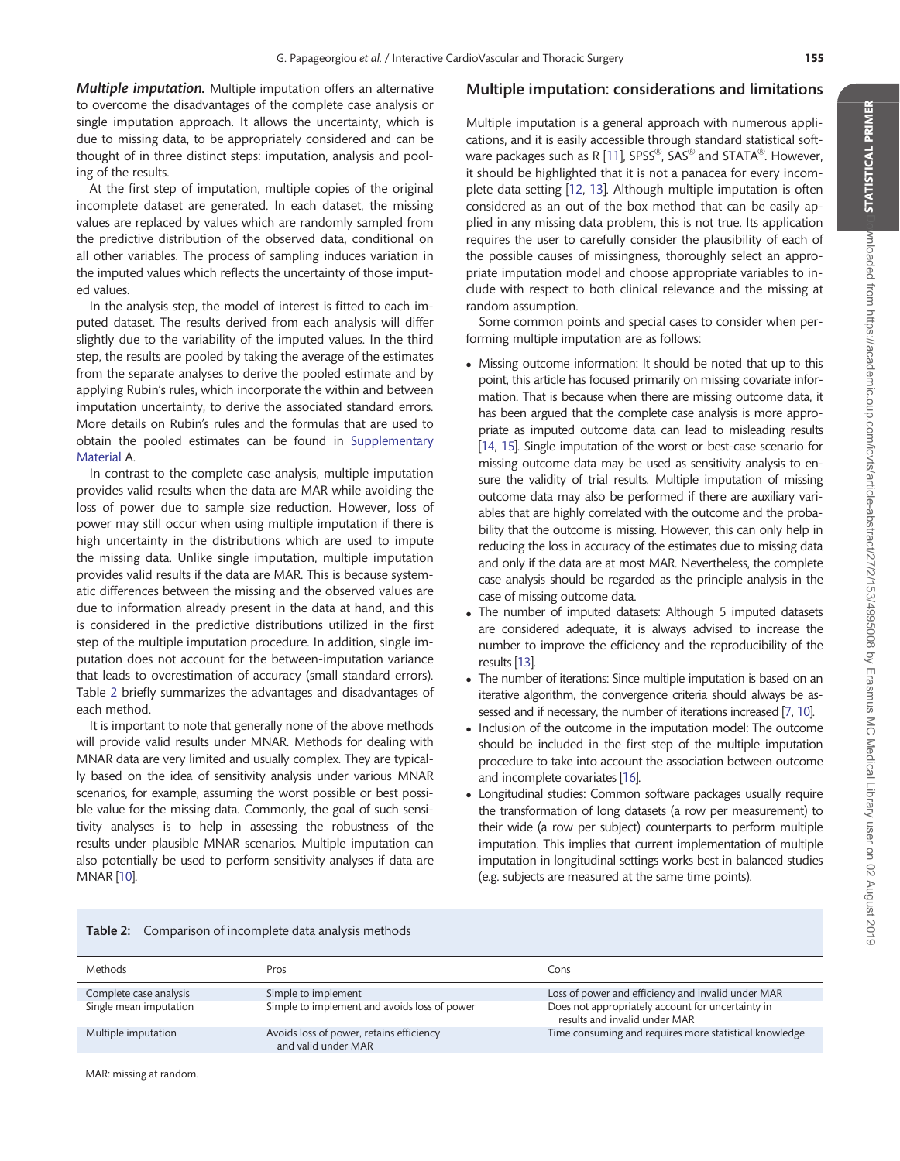<span id="page-2-0"></span>**Multiple imputation.** Multiple imputation offers an alternative to overcome the disadvantages of the complete case analysis or single imputation approach. It allows the uncertainty, which is due to missing data, to be appropriately considered and can be thought of in three distinct steps: imputation, analysis and pooling of the results.

At the first step of imputation, multiple copies of the original incomplete dataset are generated. In each dataset, the missing values are replaced by values which are randomly sampled from the predictive distribution of the observed data, conditional on all other variables. The process of sampling induces variation in the imputed values which reflects the uncertainty of those imputed values.

In the analysis step, the model of interest is fitted to each imputed dataset. The results derived from each analysis will differ slightly due to the variability of the imputed values. In the third step, the results are pooled by taking the average of the estimates from the separate analyses to derive the pooled estimate and by applying Rubin's rules, which incorporate the within and between imputation uncertainty, to derive the associated standard errors. More details on Rubin's rules and the formulas that are used to obtain the pooled estimates can be found in [Supplementary](https://academic.oup.com/icvts/article-lookup/doi/10.1093/icvts/ivy102#supplementary-data) [Material](https://academic.oup.com/icvts/article-lookup/doi/10.1093/icvts/ivy102#supplementary-data) A.

In contrast to the complete case analysis, multiple imputation provides valid results when the data are MAR while avoiding the loss of power due to sample size reduction. However, loss of power may still occur when using multiple imputation if there is high uncertainty in the distributions which are used to impute the missing data. Unlike single imputation, multiple imputation provides valid results if the data are MAR. This is because systematic differences between the missing and the observed values are due to information already present in the data at hand, and this is considered in the predictive distributions utilized in the first step of the multiple imputation procedure. In addition, single imputation does not account for the between-imputation variance that leads to overestimation of accuracy (small standard errors). Table 2 briefly summarizes the advantages and disadvantages of each method.

It is important to note that generally none of the above methods will provide valid results under MNAR. Methods for dealing with MNAR data are very limited and usually complex. They are typically based on the idea of sensitivity analysis under various MNAR scenarios, for example, assuming the worst possible or best possible value for the missing data. Commonly, the goal of such sensitivity analyses is to help in assessing the robustness of the results under plausible MNAR scenarios. Multiple imputation can also potentially be used to perform sensitivity analyses if data are MNAR [\[10\]](#page-5-0).

#### Multiple imputation: considerations and limitations

Multiple imputation is a general approach with numerous applications, and it is easily accessible through standard statistical soft-ware packages such as R [[11](#page-5-0)], SPSS $^{\circ\!\!\circ}$ , SAS $^{\circ\!\!\circ}$  and STATA $^{\circ\!\!\circ}$ . However, it should be highlighted that it is not a panacea for every incomplete data setting [\[12,](#page-5-0) [13\]](#page-5-0). Although multiple imputation is often considered as an out of the box method that can be easily applied in any missing data problem, this is not true. Its application requires the user to carefully consider the plausibility of each of the possible causes of missingness, thoroughly select an appropriate imputation model and choose appropriate variables to include with respect to both clinical relevance and the missing at random assumption.

Some common points and special cases to consider when performing multiple imputation are as follows:

- Missing outcome information: It should be noted that up to this point, this article has focused primarily on missing covariate information. That is because when there are missing outcome data, it has been argued that the complete case analysis is more appropriate as imputed outcome data can lead to misleading results [[14,](#page-5-0) [15](#page-5-0)]. Single imputation of the worst or best-case scenario for missing outcome data may be used as sensitivity analysis to ensure the validity of trial results. Multiple imputation of missing outcome data may also be performed if there are auxiliary variables that are highly correlated with the outcome and the probability that the outcome is missing. However, this can only help in reducing the loss in accuracy of the estimates due to missing data and only if the data are at most MAR. Nevertheless, the complete case analysis should be regarded as the principle analysis in the case of missing outcome data.
- The number of imputed datasets: Although 5 imputed datasets are considered adequate, it is always advised to increase the number to improve the efficiency and the reproducibility of the results [\[13](#page-5-0)].
- The number of iterations: Since multiple imputation is based on an iterative algorithm, the convergence criteria should always be assessed and if necessary, the number of iterations increased [\[7,](#page-5-0) [10](#page-5-0)].
- Inclusion of the outcome in the imputation model: The outcome should be included in the first step of the multiple imputation procedure to take into account the association between outcome and incomplete covariates [\[16\]](#page-5-0).
- Longitudinal studies: Common software packages usually require the transformation of long datasets (a row per measurement) to their wide (a row per subject) counterparts to perform multiple imputation. This implies that current implementation of multiple imputation in longitudinal settings works best in balanced studies (e.g. subjects are measured at the same time points).

| Table 2: |  | Comparison of incomplete data analysis methods |  |  |
|----------|--|------------------------------------------------|--|--|
|----------|--|------------------------------------------------|--|--|

| Methods                | Pros                                                            | Cons                                                                               |
|------------------------|-----------------------------------------------------------------|------------------------------------------------------------------------------------|
| Complete case analysis | Simple to implement                                             | Loss of power and efficiency and invalid under MAR                                 |
| Single mean imputation | Simple to implement and avoids loss of power                    | Does not appropriately account for uncertainty in<br>results and invalid under MAR |
| Multiple imputation    | Avoids loss of power, retains efficiency<br>and valid under MAR | Time consuming and requires more statistical knowledge                             |

MAR: missing at random.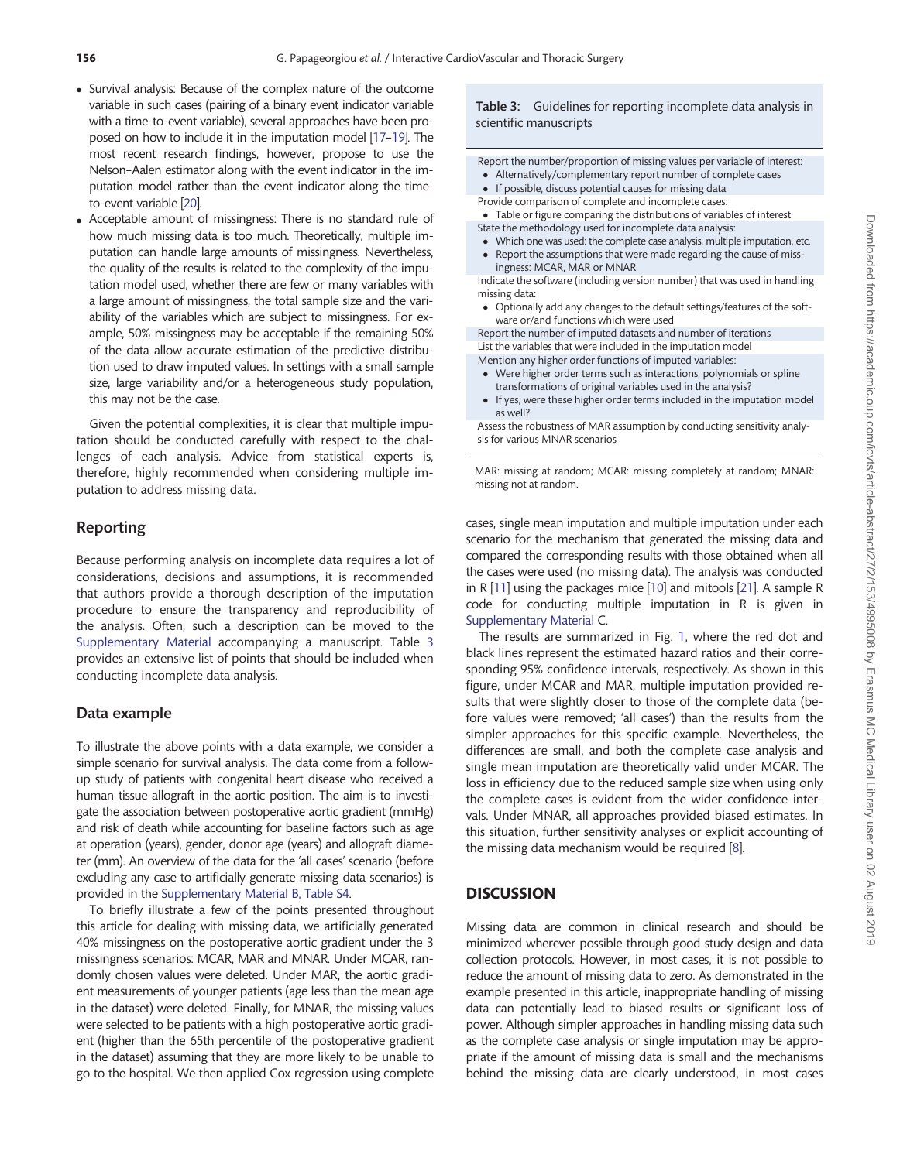-

- <span id="page-3-0"></span>• Survival analysis: Because of the complex nature of the outcome variable in such cases (pairing of a binary event indicator variable with a time-to-event variable), several approaches have been proposed on how to include it in the imputation model [\[17–19\]](#page-5-0). The most recent research findings, however, propose to use the Nelson–Aalen estimator along with the event indicator in the imputation model rather than the event indicator along the timeto-event variable [\[20\]](#page-5-0).
- Acceptable amount of missingness: There is no standard rule of how much missing data is too much. Theoretically, multiple imputation can handle large amounts of missingness. Nevertheless, the quality of the results is related to the complexity of the imputation model used, whether there are few or many variables with a large amount of missingness, the total sample size and the variability of the variables which are subject to missingness. For example, 50% missingness may be acceptable if the remaining 50% of the data allow accurate estimation of the predictive distribution used to draw imputed values. In settings with a small sample size, large variability and/or a heterogeneous study population, this may not be the case.

Given the potential complexities, it is clear that multiple imputation should be conducted carefully with respect to the challenges of each analysis. Advice from statistical experts is, therefore, highly recommended when considering multiple imputation to address missing data.

#### Reporting

Because performing analysis on incomplete data requires a lot of considerations, decisions and assumptions, it is recommended that authors provide a thorough description of the imputation procedure to ensure the transparency and reproducibility of the analysis. Often, such a description can be moved to the [Supplementary Material](https://academic.oup.com/icvts/article-lookup/doi/10.1093/icvts/ivy102#supplementary-data) accompanying a manuscript. Table 3 provides an extensive list of points that should be included when conducting incomplete data analysis.

#### Data example

To illustrate the above points with a data example, we consider a simple scenario for survival analysis. The data come from a followup study of patients with congenital heart disease who received a human tissue allograft in the aortic position. The aim is to investigate the association between postoperative aortic gradient (mmHg) and risk of death while accounting for baseline factors such as age at operation (years), gender, donor age (years) and allograft diameter (mm). An overview of the data for the 'all cases' scenario (before excluding any case to artificially generate missing data scenarios) is provided in the [Supplementary Material B, Table S4.](https://academic.oup.com/icvts/article-lookup/doi/10.1093/icvts/ivy102#supplementary-data)

To briefly illustrate a few of the points presented throughout this article for dealing with missing data, we artificially generated 40% missingness on the postoperative aortic gradient under the 3 missingness scenarios: MCAR, MAR and MNAR. Under MCAR, randomly chosen values were deleted. Under MAR, the aortic gradient measurements of younger patients (age less than the mean age in the dataset) were deleted. Finally, for MNAR, the missing values were selected to be patients with a high postoperative aortic gradient (higher than the 65th percentile of the postoperative gradient in the dataset) assuming that they are more likely to be unable to go to the hospital. We then applied Cox regression using complete

#### Table 3: Guidelines for reporting incomplete data analysis in scientific manuscripts

- Alternatively/complementary report number of complete cases
- If possible, discuss potential causes for missing data
- Provide comparison of complete and incomplete cases:
- Table or figure comparing the distributions of variables of interest State the methodology used for incomplete data analysis:
- Which one was used: the complete case analysis, multiple imputation, etc.
- Report the assumptions that were made regarding the cause of missingness: MCAR, MAR or MNAR

Indicate the software (including version number) that was used in handling missing data:

- Optionally add any changes to the default settings/features of the software or/and functions which were used

Report the number of imputed datasets and number of iterations List the variables that were included in the imputation model

Mention any higher order functions of imputed variables:

- Were higher order terms such as interactions, polynomials or spline transformations of original variables used in the analysis?
- If yes, were these higher order terms included in the imputation model as well?

Assess the robustness of MAR assumption by conducting sensitivity analysis for various MNAR scenarios

MAR: missing at random; MCAR: missing completely at random; MNAR: missing not at random.

cases, single mean imputation and multiple imputation under each scenario for the mechanism that generated the missing data and compared the corresponding results with those obtained when all the cases were used (no missing data). The analysis was conducted in R [\[11\]](#page-5-0) using the packages mice [[10\]](#page-5-0) and mitools [[21\]](#page-5-0). A sample R code for conducting multiple imputation in R is given in [Supplementary Material](https://academic.oup.com/icvts/article-lookup/doi/10.1093/icvts/ivy102#supplementary-data) C.

The results are summarized in Fig. [1](#page-4-0), where the red dot and black lines represent the estimated hazard ratios and their corresponding 95% confidence intervals, respectively. As shown in this figure, under MCAR and MAR, multiple imputation provided results that were slightly closer to those of the complete data (before values were removed; 'all cases') than the results from the simpler approaches for this specific example. Nevertheless, the differences are small, and both the complete case analysis and single mean imputation are theoretically valid under MCAR. The loss in efficiency due to the reduced sample size when using only the complete cases is evident from the wider confidence intervals. Under MNAR, all approaches provided biased estimates. In this situation, further sensitivity analyses or explicit accounting of the missing data mechanism would be required [[8](#page-5-0)].

#### **DISCUSSION**

Missing data are common in clinical research and should be minimized wherever possible through good study design and data collection protocols. However, in most cases, it is not possible to reduce the amount of missing data to zero. As demonstrated in the example presented in this article, inappropriate handling of missing data can potentially lead to biased results or significant loss of power. Although simpler approaches in handling missing data such as the complete case analysis or single imputation may be appropriate if the amount of missing data is small and the mechanisms behind the missing data are clearly understood, in most cases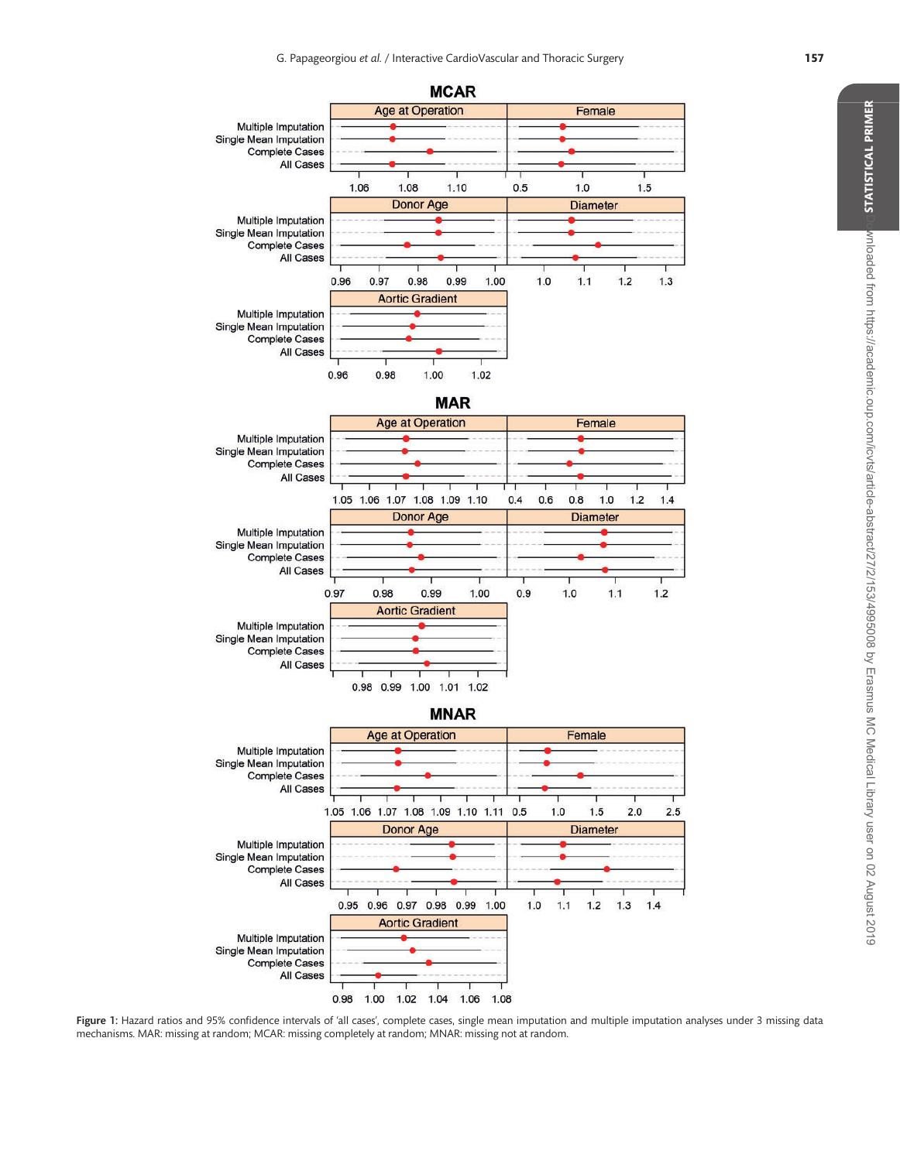<span id="page-4-0"></span>

Figure 1: Hazard ratios and 95% confidence intervals of 'all cases', complete cases, single mean imputation and multiple imputation analyses under 3 missing data mechanisms. MAR: missing at random; MCAR: missing completely at random; MNAR: missing not at random.